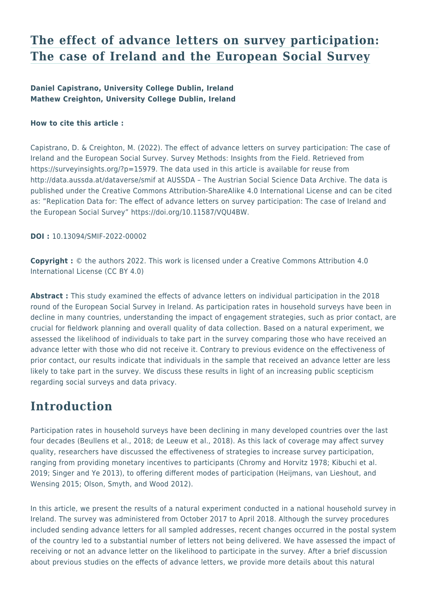## **[The effect of advance letters on survey participation:](https://surveyinsights.org/?p=15979) [The case of Ireland and the European Social Survey](https://surveyinsights.org/?p=15979)**

#### **Daniel Capistrano, University College Dublin, Ireland Mathew Creighton, University College Dublin, Ireland**

#### **How to cite this article :**

Capistrano, D. & Creighton, M. (2022). The effect of advance letters on survey participation: The case of Ireland and the European Social Survey. Survey Methods: Insights from the Field. Retrieved from https://surveyinsights.org/?p=15979. The data used in this article is available for reuse from http://data.aussda.at/dataverse/smif at AUSSDA – The Austrian Social Science Data Archive. The data is published under the Creative Commons Attribution-ShareAlike 4.0 International License and can be cited as: "Replication Data for: The effect of advance letters on survey participation: The case of Ireland and the European Social Survey" https://doi.org/10.11587/VQU4BW.

**DOI :** 10.13094/SMIF-2022-00002

**Copyright :** © the authors 2022. This work is licensed under a Creative Commons Attribution 4.0 International License (CC BY 4.0)

**Abstract :** This study examined the effects of advance letters on individual participation in the 2018 round of the European Social Survey in Ireland. As participation rates in household surveys have been in decline in many countries, understanding the impact of engagement strategies, such as prior contact, are crucial for fieldwork planning and overall quality of data collection. Based on a natural experiment, we assessed the likelihood of individuals to take part in the survey comparing those who have received an advance letter with those who did not receive it. Contrary to previous evidence on the effectiveness of prior contact, our results indicate that individuals in the sample that received an advance letter are less likely to take part in the survey. We discuss these results in light of an increasing public scepticism regarding social surveys and data privacy.

### **Introduction**

Participation rates in household surveys have been declining in many developed countries over the last four decades (Beullens et al., 2018; de Leeuw et al., 2018). As this lack of coverage may affect survey quality, researchers have discussed the effectiveness of strategies to increase survey participation, ranging from providing monetary incentives to participants (Chromy and Horvitz 1978; Kibuchi et al. 2019; Singer and Ye 2013), to offering different modes of participation (Heijmans, van Lieshout, and Wensing 2015; Olson, Smyth, and Wood 2012).

In this article, we present the results of a natural experiment conducted in a national household survey in Ireland. The survey was administered from October 2017 to April 2018. Although the survey procedures included sending advance letters for all sampled addresses, recent changes occurred in the postal system of the country led to a substantial number of letters not being delivered. We have assessed the impact of receiving or not an advance letter on the likelihood to participate in the survey. After a brief discussion about previous studies on the effects of advance letters, we provide more details about this natural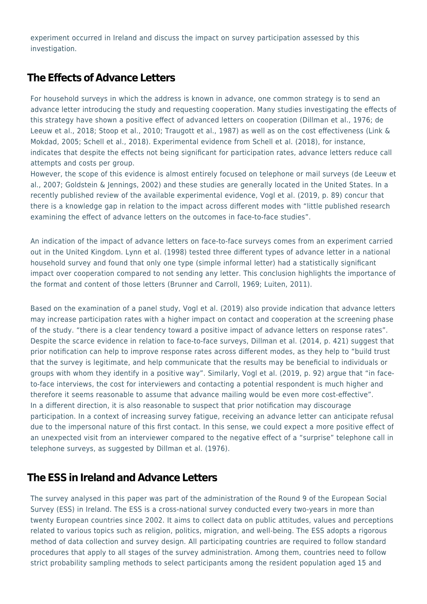experiment occurred in Ireland and discuss the impact on survey participation assessed by this investigation.

### **The Effects of Advance Letters**

For household surveys in which the address is known in advance, one common strategy is to send an advance letter introducing the study and requesting cooperation. Many studies investigating the effects of this strategy have shown a positive effect of advanced letters on cooperation (Dillman et al., 1976; de Leeuw et al., 2018; Stoop et al., 2010; Traugott et al., 1987) as well as on the cost effectiveness (Link & Mokdad, 2005; Schell et al., 2018). Experimental evidence from Schell et al. (2018), for instance, indicates that despite the effects not being significant for participation rates, advance letters reduce call attempts and costs per group.

However, the scope of this evidence is almost entirely focused on telephone or mail surveys (de Leeuw et al., 2007; Goldstein & Jennings, 2002) and these studies are generally located in the United States. In a recently published review of the available experimental evidence, Vogl et al. (2019, p. 89) concur that there is a knowledge gap in relation to the impact across different modes with "little published research examining the effect of advance letters on the outcomes in face-to-face studies".

An indication of the impact of advance letters on face-to-face surveys comes from an experiment carried out in the United Kingdom. Lynn et al. (1998) tested three different types of advance letter in a national household survey and found that only one type (simple informal letter) had a statistically significant impact over cooperation compared to not sending any letter. This conclusion highlights the importance of the format and content of those letters (Brunner and Carroll, 1969; Luiten, 2011).

Based on the examination of a panel study, Vogl et al. (2019) also provide indication that advance letters may increase participation rates with a higher impact on contact and cooperation at the screening phase of the study. "there is a clear tendency toward a positive impact of advance letters on response rates". Despite the scarce evidence in relation to face-to-face surveys, Dillman et al. (2014, p. 421) suggest that prior notification can help to improve response rates across different modes, as they help to "build trust that the survey is legitimate, and help communicate that the results may be beneficial to individuals or groups with whom they identify in a positive way". Similarly, Vogl et al. (2019, p. 92) argue that "in faceto-face interviews, the cost for interviewers and contacting a potential respondent is much higher and therefore it seems reasonable to assume that advance mailing would be even more cost-effective". In a different direction, it is also reasonable to suspect that prior notification may discourage participation. In a context of increasing survey fatigue, receiving an advance letter can anticipate refusal due to the impersonal nature of this first contact. In this sense, we could expect a more positive effect of an unexpected visit from an interviewer compared to the negative effect of a "surprise" telephone call in telephone surveys, as suggested by Dillman et al. (1976).

### **The ESS in Ireland and Advance Letters**

The survey analysed in this paper was part of the administration of the Round 9 of the European Social Survey (ESS) in Ireland. The ESS is a cross-national survey conducted every two-years in more than twenty European countries since 2002. It aims to collect data on public attitudes, values and perceptions related to various topics such as religion, politics, migration, and well-being. The ESS adopts a rigorous method of data collection and survey design. All participating countries are required to follow standard procedures that apply to all stages of the survey administration. Among them, countries need to follow strict probability sampling methods to select participants among the resident population aged 15 and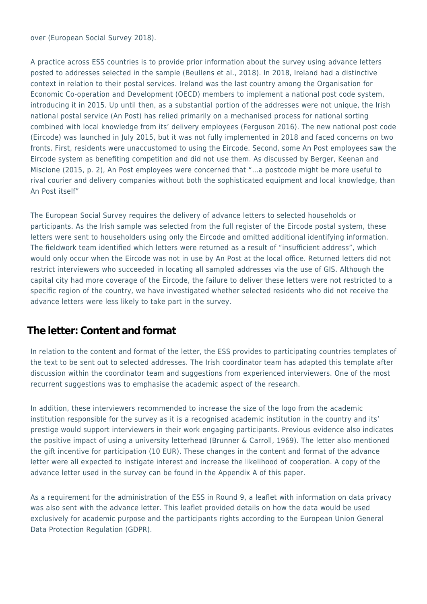over (European Social Survey 2018).

A practice across ESS countries is to provide prior information about the survey using advance letters posted to addresses selected in the sample (Beullens et al., 2018). In 2018, Ireland had a distinctive context in relation to their postal services. Ireland was the last country among the Organisation for Economic Co-operation and Development (OECD) members to implement a national post code system, introducing it in 2015. Up until then, as a substantial portion of the addresses were not unique, the Irish national postal service (An Post) has relied primarily on a mechanised process for national sorting combined with local knowledge from its' delivery employees (Ferguson 2016). The new national post code (Eircode) was launched in July 2015, but it was not fully implemented in 2018 and faced concerns on two fronts. First, residents were unaccustomed to using the Eircode. Second, some An Post employees saw the Eircode system as benefiting competition and did not use them. As discussed by Berger, Keenan and Miscione (2015, p. 2), An Post employees were concerned that "…a postcode might be more useful to rival courier and delivery companies without both the sophisticated equipment and local knowledge, than An Post itself"

The European Social Survey requires the delivery of advance letters to selected households or participants. As the Irish sample was selected from the full register of the Eircode postal system, these letters were sent to householders using only the Eircode and omitted additional identifying information. The fieldwork team identified which letters were returned as a result of "insufficient address", which would only occur when the Eircode was not in use by An Post at the local office. Returned letters did not restrict interviewers who succeeded in locating all sampled addresses via the use of GIS. Although the capital city had more coverage of the Eircode, the failure to deliver these letters were not restricted to a specific region of the country, we have investigated whether selected residents who did not receive the advance letters were less likely to take part in the survey.

### **The letter: Content and format**

In relation to the content and format of the letter, the ESS provides to participating countries templates of the text to be sent out to selected addresses. The Irish coordinator team has adapted this template after discussion within the coordinator team and suggestions from experienced interviewers. One of the most recurrent suggestions was to emphasise the academic aspect of the research.

In addition, these interviewers recommended to increase the size of the logo from the academic institution responsible for the survey as it is a recognised academic institution in the country and its' prestige would support interviewers in their work engaging participants. Previous evidence also indicates the positive impact of using a university letterhead (Brunner & Carroll, 1969). The letter also mentioned the gift incentive for participation (10 EUR). These changes in the content and format of the advance letter were all expected to instigate interest and increase the likelihood of cooperation. A copy of the advance letter used in the survey can be found in the Appendix A of this paper.

As a requirement for the administration of the ESS in Round 9, a leaflet with information on data privacy was also sent with the advance letter. This leaflet provided details on how the data would be used exclusively for academic purpose and the participants rights according to the European Union General Data Protection Regulation (GDPR).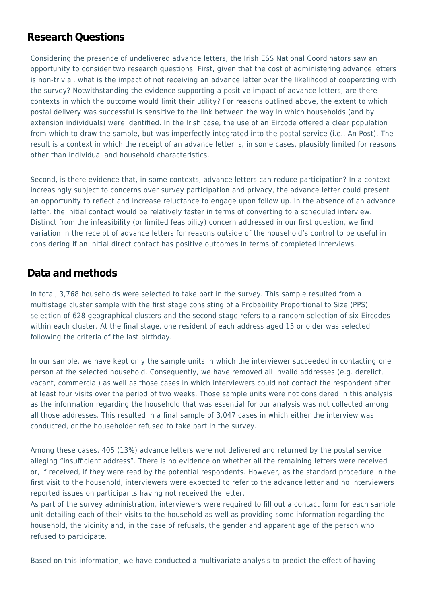### **Research Questions**

Considering the presence of undelivered advance letters, the Irish ESS National Coordinators saw an opportunity to consider two research questions. First, given that the cost of administering advance letters is non-trivial, what is the impact of not receiving an advance letter over the likelihood of cooperating with the survey? Notwithstanding the evidence supporting a positive impact of advance letters, are there contexts in which the outcome would limit their utility? For reasons outlined above, the extent to which postal delivery was successful is sensitive to the link between the way in which households (and by extension individuals) were identified. In the Irish case, the use of an Eircode offered a clear population from which to draw the sample, but was imperfectly integrated into the postal service (i.e., An Post). The result is a context in which the receipt of an advance letter is, in some cases, plausibly limited for reasons other than individual and household characteristics.

Second, is there evidence that, in some contexts, advance letters can reduce participation? In a context increasingly subject to concerns over survey participation and privacy, the advance letter could present an opportunity to reflect and increase reluctance to engage upon follow up. In the absence of an advance letter, the initial contact would be relatively faster in terms of converting to a scheduled interview. Distinct from the infeasibility (or limited feasibility) concern addressed in our first question, we find variation in the receipt of advance letters for reasons outside of the household's control to be useful in considering if an initial direct contact has positive outcomes in terms of completed interviews.

### **Data and methods**

In total, 3,768 households were selected to take part in the survey. This sample resulted from a multistage cluster sample with the first stage consisting of a Probability Proportional to Size (PPS) selection of 628 geographical clusters and the second stage refers to a random selection of six Eircodes within each cluster. At the final stage, one resident of each address aged 15 or older was selected following the criteria of the last birthday.

In our sample, we have kept only the sample units in which the interviewer succeeded in contacting one person at the selected household. Consequently, we have removed all invalid addresses (e.g. derelict, vacant, commercial) as well as those cases in which interviewers could not contact the respondent after at least four visits over the period of two weeks. Those sample units were not considered in this analysis as the information regarding the household that was essential for our analysis was not collected among all those addresses. This resulted in a final sample of 3,047 cases in which either the interview was conducted, or the householder refused to take part in the survey.

Among these cases, 405 (13%) advance letters were not delivered and returned by the postal service alleging "insufficient address". There is no evidence on whether all the remaining letters were received or, if received, if they were read by the potential respondents. However, as the standard procedure in the first visit to the household, interviewers were expected to refer to the advance letter and no interviewers reported issues on participants having not received the letter.

As part of the survey administration, interviewers were required to fill out a contact form for each sample unit detailing each of their visits to the household as well as providing some information regarding the household, the vicinity and, in the case of refusals, the gender and apparent age of the person who refused to participate.

Based on this information, we have conducted a multivariate analysis to predict the effect of having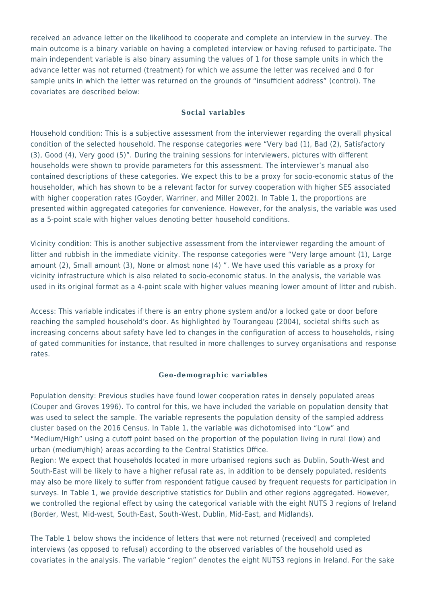received an advance letter on the likelihood to cooperate and complete an interview in the survey. The main outcome is a binary variable on having a completed interview or having refused to participate. The main independent variable is also binary assuming the values of 1 for those sample units in which the advance letter was not returned (treatment) for which we assume the letter was received and 0 for sample units in which the letter was returned on the grounds of "insufficient address" (control). The covariates are described below:

#### **Social variables**

Household condition: This is a subjective assessment from the interviewer regarding the overall physical condition of the selected household. The response categories were "Very bad (1), Bad (2), Satisfactory (3), Good (4), Very good (5)". During the training sessions for interviewers, pictures with different households were shown to provide parameters for this assessment. The interviewer's manual also contained descriptions of these categories. We expect this to be a proxy for socio-economic status of the householder, which has shown to be a relevant factor for survey cooperation with higher SES associated with higher cooperation rates (Goyder, Warriner, and Miller 2002). In Table 1, the proportions are presented within aggregated categories for convenience. However, for the analysis, the variable was used as a 5-point scale with higher values denoting better household conditions.

Vicinity condition: This is another subjective assessment from the interviewer regarding the amount of litter and rubbish in the immediate vicinity. The response categories were "Very large amount (1), Large amount (2), Small amount (3), None or almost none (4) ". We have used this variable as a proxy for vicinity infrastructure which is also related to socio-economic status. In the analysis, the variable was used in its original format as a 4-point scale with higher values meaning lower amount of litter and rubish.

Access: This variable indicates if there is an entry phone system and/or a locked gate or door before reaching the sampled household's door. As highlighted by Tourangeau (2004), societal shifts such as increasing concerns about safety have led to changes in the configuration of access to households, rising of gated communities for instance, that resulted in more challenges to survey organisations and response rates.

#### **Geo-demographic variables**

Population density: Previous studies have found lower cooperation rates in densely populated areas (Couper and Groves 1996). To control for this, we have included the variable on population density that was used to select the sample. The variable represents the population density of the sampled address cluster based on the 2016 Census. In Table 1, the variable was dichotomised into "Low" and "Medium/High" using a cutoff point based on the proportion of the population living in rural (low) and urban (medium/high) areas according to the Central Statistics Office.

Region: We expect that households located in more urbanised regions such as Dublin, South-West and South-East will be likely to have a higher refusal rate as, in addition to be densely populated, residents may also be more likely to suffer from respondent fatigue caused by frequent requests for participation in surveys. In Table 1, we provide descriptive statistics for Dublin and other regions aggregated. However, we controlled the regional effect by using the categorical variable with the eight NUTS 3 regions of Ireland (Border, West, Mid-west, South-East, South-West, Dublin, Mid-East, and Midlands).

The Table 1 below shows the incidence of letters that were not returned (received) and completed interviews (as opposed to refusal) according to the observed variables of the household used as covariates in the analysis. The variable "region" denotes the eight NUTS3 regions in Ireland. For the sake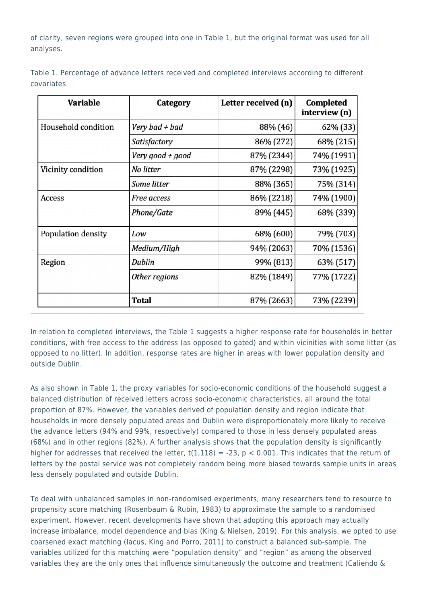of clarity, seven regions were grouped into one in Table 1, but the original format was used for all analyses.

| <b>Variable</b>     | Category         | Letter received (n) | Completed<br>interview (n) |  |
|---------------------|------------------|---------------------|----------------------------|--|
| Household condition | Very bad + bad   | 88% (46)            | 62% (33)                   |  |
|                     | Satisfactory     | 86% (272)           | 68% (215)                  |  |
|                     | Very good + good | 87% (2344)          | 74% (1991)                 |  |
| Vicinity condition  | No litter        | 87% (2298)          | 73% (1925)                 |  |
|                     | Some litter      | 88% (365)           | 75% (314)                  |  |
| Access              | Free access      | 86% (2218)          | 74% (1900)                 |  |
|                     | Phone/Gate       | 89% (445)           | 68% (339)                  |  |
| Population density  | Low              | 68% (600)           | 79% (703)                  |  |
|                     | Medium/High      | 94% (2063)          | 70% (1536)                 |  |
| Region              | Dublin           | 99% (813)           | 63% (517)                  |  |
|                     | Other regions    | 82% (1849)          | 77% (1722)                 |  |
|                     | Total            | 87% (2663)          | 73% (2239)                 |  |

Table 1. Percentage of advance letters received and completed interviews according to different covariates

In relation to completed interviews, the Table 1 suggests a higher response rate for households in better conditions, with free access to the address (as opposed to gated) and within vicinities with some litter (as opposed to no litter). In addition, response rates are higher in areas with lower population density and outside Dublin.

As also shown in Table 1, the proxy variables for socio-economic conditions of the household suggest a balanced distribution of received letters across socio-economic characteristics, all around the total proportion of 87%. However, the variables derived of population density and region indicate that households in more densely populated areas and Dublin were disproportionately more likely to receive the advance letters (94% and 99%, respectively) compared to those in less densely populated areas (68%) and in other regions (82%). A further analysis shows that the population density is significantly higher for addresses that received the letter,  $t(1,118) = -23$ ,  $p < 0.001$ . This indicates that the return of letters by the postal service was not completely random being more biased towards sample units in areas less densely populated and outside Dublin.

To deal with unbalanced samples in non-randomised experiments, many researchers tend to resource to propensity score matching (Rosenbaum & Rubin, 1983) to approximate the sample to a randomised experiment. However, recent developments have shown that adopting this approach may actually increase imbalance, model dependence and bias (King & Nielsen, 2019). For this analysis, we opted to use coarsened exact matching (Iacus, King and Porro, 2011) to construct a balanced sub-sample. The variables utilized for this matching were "population density" and "region" as among the observed variables they are the only ones that influence simultaneously the outcome and treatment (Caliendo &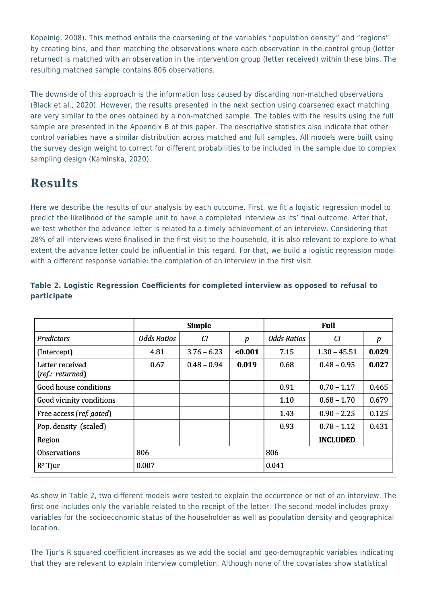Kopeinig, 2008). This method entails the coarsening of the variables "population density" and "regions" by creating bins, and then matching the observations where each observation in the control group (letter returned) is matched with an observation in the intervention group (letter received) within these bins. The resulting matched sample contains 806 observations.

The downside of this approach is the information loss caused by discarding non-matched observations (Black et al., 2020). However, the results presented in the next section using coarsened exact matching are very similar to the ones obtained by a non-matched sample. The tables with the results using the full sample are presented in the Appendix B of this paper. The descriptive statistics also indicate that other control variables have a similar distribution across matched and full samples. All models were built using the survey design weight to correct for different probabilities to be included in the sample due to complex sampling design (Kaminska, 2020).

## **Results**

Here we describe the results of our analysis by each outcome. First, we fit a logistic regression model to predict the likelihood of the sample unit to have a completed interview as its' final outcome. After that, we test whether the advance letter is related to a timely achievement of an interview. Considering that 28% of all interviews were finalised in the first visit to the household, it is also relevant to explore to what extent the advance letter could be influential in this regard. For that, we build a logistic regression model with a different response variable: the completion of an interview in the first visit.

|                                     | <b>Simple</b>      |               |                  | Full               |                 |       |
|-------------------------------------|--------------------|---------------|------------------|--------------------|-----------------|-------|
| Predictors                          | <b>Odds Ratios</b> | CI            | $\boldsymbol{p}$ | <b>Odds Ratios</b> | CI              | p     |
| (Intercept)                         | 4.81               | $3.76 - 6.23$ | $0.001$          | 7.15               | $1.30 - 45.51$  | 0.029 |
| Letter received<br>(ref.: returned) | 0.67               | $0.48 - 0.94$ | 0.019            | 0.68               | $0.48 - 0.95$   | 0.027 |
| Good house conditions               |                    |               |                  | 0.91               | $0.70 - 1.17$   | 0.465 |
| Good vicinity conditions            |                    |               |                  | 1.10               | $0.68 - 1.70$   | 0.679 |
| Free access (ref. gated)            |                    |               |                  | 1.43               | $0.90 - 2.25$   | 0.125 |
| Pop. density (scaled)               |                    |               |                  | 0.93               | $0.78 - 1.12$   | 0.431 |
| Region                              |                    |               |                  |                    | <b>INCLUDED</b> |       |
| <b>Observations</b>                 | 806                |               |                  | 806                |                 |       |
| $R^2$ Tjur                          | 0.007              |               |                  | 0.041              |                 |       |

#### **Table 2. Logistic Regression Coefficients for completed interview as opposed to refusal to participate**

As show in Table 2, two different models were tested to explain the occurrence or not of an interview. The first one includes only the variable related to the receipt of the letter. The second model includes proxy variables for the socioeconomic status of the householder as well as population density and geographical location.

The Tjur's R squared coefficient increases as we add the social and geo-demographic variables indicating that they are relevant to explain interview completion. Although none of the covariates show statistical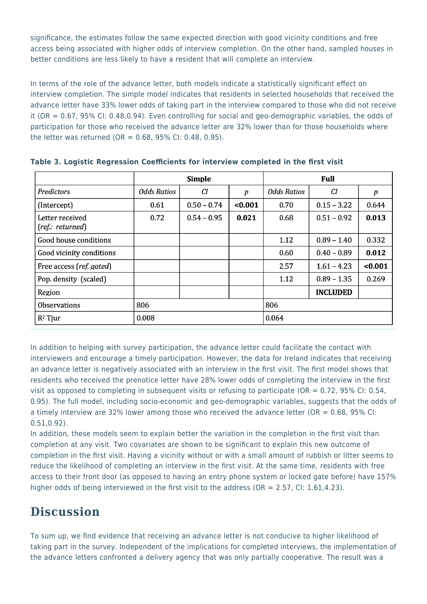significance, the estimates follow the same expected direction with good vicinity conditions and free access being associated with higher odds of interview completion. On the other hand, sampled houses in better conditions are less likely to have a resident that will complete an interview.

In terms of the role of the advance letter, both models indicate a statistically significant effect on interview completion. The simple model indicates that residents in selected households that received the advance letter have 33% lower odds of taking part in the interview compared to those who did not receive it (OR = 0.67, 95% CI: 0.48,0.94). Even controlling for social and geo-demographic variables, the odds of participation for those who received the advance letter are 32% lower than for those households where the letter was returned (OR =  $0.68$ , 95% CI: 0.48, 0.95).

|                                     | <b>Simple</b>      |               |         | Full        |                 |         |
|-------------------------------------|--------------------|---------------|---------|-------------|-----------------|---------|
| <b>Predictors</b>                   | <b>Odds Ratios</b> | CI            | p       | Odds Ratios | СI              | p       |
| (Intercept)                         | 0.61               | $0.50 - 0.74$ | < 0.001 | 0.70        | $0.15 - 3.22$   | 0.644   |
| Letter received<br>(ref.: returned) | 0.72               | $0.54 - 0.95$ | 0.021   | 0.68        | $0.51 - 0.92$   | 0.013   |
| Good house conditions               |                    |               |         | 1.12        | $0.89 - 1.40$   | 0.332   |
| Good vicinity conditions            |                    |               |         | 0.60        | $0.40 - 0.89$   | 0.012   |
| Free access (ref. gated)            |                    |               |         | 2.57        | $1.61 - 4.23$   | < 0.001 |
| Pop. density (scaled)               |                    |               |         | 1.12        | $0.89 - 1.35$   | 0.269   |
| Region                              |                    |               |         |             | <b>INCLUDED</b> |         |
| <b>Observations</b>                 | 806                |               |         | 806         |                 |         |
| $R^2$ Tjur                          | 0.008              |               |         | 0.064       |                 |         |

**Table 3. Logistic Regression Coefficients for interview completed in the first visit**

In addition to helping with survey participation, the advance letter could facilitate the contact with interviewers and encourage a timely participation. However, the data for Ireland indicates that receiving an advance letter is negatively associated with an interview in the first visit. The first model shows that residents who received the prenotice letter have 28% lower odds of completing the interview in the first visit as opposed to completing in subsequent visits or refusing to participate (OR =  $0.72$ , 95% CI; 0.54, 0.95). The full model, including socio-economic and geo-demographic variables, suggests that the odds of a timely interview are 32% lower among those who received the advance letter (OR = 0.68, 95% CI: 0.51,0.92).

In addition, these models seem to explain better the variation in the completion in the first visit than completion at any visit. Two covariates are shown to be significant to explain this new outcome of completion in the first visit. Having a vicinity without or with a small amount of rubbish or litter seems to reduce the likelihood of completing an interview in the first visit. At the same time, residents with free access to their front door (as opposed to having an entry phone system or locked gate before) have 157% higher odds of being interviewed in the first visit to the address (OR =  $2.57$ , CI:  $1.61, 4.23$ ).

# **Discussion**

To sum up, we find evidence that receiving an advance letter is not conducive to higher likelihood of taking part in the survey. Independent of the implications for completed interviews, the implementation of the advance letters confronted a delivery agency that was only partially cooperative. The result was a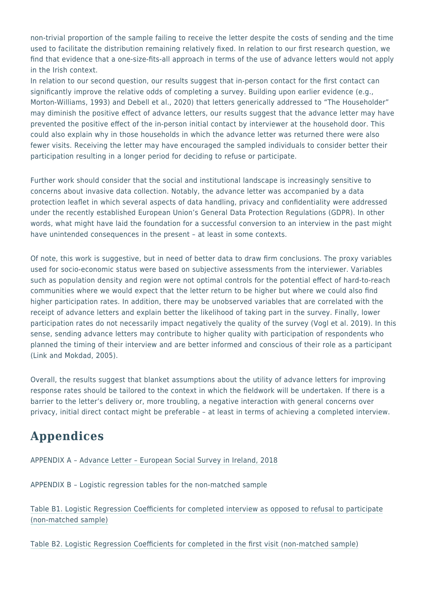non-trivial proportion of the sample failing to receive the letter despite the costs of sending and the time used to facilitate the distribution remaining relatively fixed. In relation to our first research question, we find that evidence that a one-size-fits-all approach in terms of the use of advance letters would not apply in the Irish context.

In relation to our second question, our results suggest that in-person contact for the first contact can significantly improve the relative odds of completing a survey. Building upon earlier evidence (e.g., Morton-Williams, 1993) and Debell et al., 2020) that letters generically addressed to "The Householder" may diminish the positive effect of advance letters, our results suggest that the advance letter may have prevented the positive effect of the in-person initial contact by interviewer at the household door. This could also explain why in those households in which the advance letter was returned there were also fewer visits. Receiving the letter may have encouraged the sampled individuals to consider better their participation resulting in a longer period for deciding to refuse or participate.

Further work should consider that the social and institutional landscape is increasingly sensitive to concerns about invasive data collection. Notably, the advance letter was accompanied by a data protection leaflet in which several aspects of data handling, privacy and confidentiality were addressed under the recently established European Union's General Data Protection Regulations (GDPR). In other words, what might have laid the foundation for a successful conversion to an interview in the past might have unintended consequences in the present - at least in some contexts.

Of note, this work is suggestive, but in need of better data to draw firm conclusions. The proxy variables used for socio-economic status were based on subjective assessments from the interviewer. Variables such as population density and region were not optimal controls for the potential effect of hard-to-reach communities where we would expect that the letter return to be higher but where we could also find higher participation rates. In addition, there may be unobserved variables that are correlated with the receipt of advance letters and explain better the likelihood of taking part in the survey. Finally, lower participation rates do not necessarily impact negatively the quality of the survey (Vogl et al. 2019). In this sense, sending advance letters may contribute to higher quality with participation of respondents who planned the timing of their interview and are better informed and conscious of their role as a participant (Link and Mokdad, 2005).

Overall, the results suggest that blanket assumptions about the utility of advance letters for improving response rates should be tailored to the context in which the fieldwork will be undertaken. If there is a barrier to the letter's delivery or, more troubling, a negative interaction with general concerns over privacy, initial direct contact might be preferable – at least in terms of achieving a completed interview.

# **Appendices**

APPENDIX A – [Advance Letter – European Social Survey in Ireland, 2018](https://surveyinsights.org/wp-content/uploads/2022/03/Appendix_A.pdf)

APPENDIX B – Logistic regression tables for the non-matched sample

[Table B1. Logistic Regression Coefficients for completed interview as opposed to refusal to participate](https://surveyinsights.org/wp-content/uploads/2022/03/Appendix_B.pdf) [\(non-matched sample\)](https://surveyinsights.org/wp-content/uploads/2022/03/Appendix_B.pdf)

[Table B2. Logistic Regression Coefficients for completed in the first visit \(non-matched sample\)](https://surveyinsights.org/wp-content/uploads/2022/03/Appendix_B2.pdf)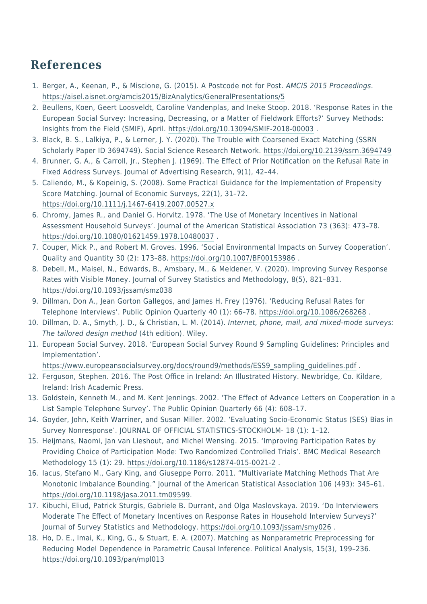## **References**

- 1. Berger, A., Keenan, P., & Miscione, G. (2015). A Postcode not for Post. AMCIS 2015 Proceedings. <https://aisel.aisnet.org/amcis2015/BizAnalytics/GeneralPresentations/5>
- 2. Beullens, Koen, Geert Loosveldt, Caroline Vandenplas, and Ineke Stoop. 2018. 'Response Rates in the European Social Survey: Increasing, Decreasing, or a Matter of Fieldwork Efforts?' Survey Methods: Insights from the Field (SMIF), April. <https://doi.org/10.13094/SMIF-2018-00003>.
- 3. Black, B. S., Lalkiya, P., & Lerner, J. Y. (2020). The Trouble with Coarsened Exact Matching (SSRN Scholarly Paper ID 3694749). Social Science Research Network. <https://doi.org/10.2139/ssrn.3694749>
- 4. Brunner, G. A., & Carroll, Jr., Stephen J. (1969). The Effect of Prior Notification on the Refusal Rate in Fixed Address Surveys. Journal of Advertising Research, 9(1), 42–44.
- 5. Caliendo, M., & Kopeinig, S. (2008). Some Practical Guidance for the Implementation of Propensity Score Matching. Journal of Economic Surveys, 22(1), 31–72. <https://doi.org/10.1111/j.1467-6419.2007.00527.x>
- 6. Chromy, James R., and Daniel G. Horvitz. 1978. 'The Use of Monetary Incentives in National Assessment Household Surveys'. Journal of the American Statistical Association 73 (363): 473–78. <https://doi.org/10.1080/01621459.1978.10480037>.
- 7. Couper, Mick P., and Robert M. Groves. 1996. 'Social Environmental Impacts on Survey Cooperation'. Quality and Quantity 30 (2): 173–88.<https://doi.org/10.1007/BF00153986> .
- 8. Debell, M., Maisel, N., Edwards, B., Amsbary, M., & Meldener, V. (2020). Improving Survey Response Rates with Visible Money. Journal of Survey Statistics and Methodology, 8(5), 821–831. <https://doi.org/10.1093/jssam/smz038>
- 9. Dillman, Don A., Jean Gorton Gallegos, and James H. Frey (1976). 'Reducing Refusal Rates for Telephone Interviews'. Public Opinion Quarterly 40 (1): 66–78.<https://doi.org/10.1086/268268> .
- 10. Dillman, D. A., Smyth, J. D., & Christian, L. M. (2014). Internet, phone, mail, and mixed-mode surveys: The tailored design method (4th edition). Wiley.
- 11. European Social Survey. 2018. 'European Social Survey Round 9 Sampling Guidelines: Principles and Implementation'.

[https://www.europeansocialsurvey.org/docs/round9/methods/ESS9\\_sampling\\_guidelines.pdf](https://www.europeansocialsurvey.org/docs/round9/methods/ESS9_sampling_guidelines.pdf) .

- 12. Ferguson, Stephen. 2016. The Post Office in Ireland: An Illustrated History. Newbridge, Co. Kildare, Ireland: Irish Academic Press.
- 13. Goldstein, Kenneth M., and M. Kent Jennings. 2002. 'The Effect of Advance Letters on Cooperation in a List Sample Telephone Survey'. The Public Opinion Quarterly 66 (4): 608–17.
- 14. Goyder, John, Keith Warriner, and Susan Miller. 2002. 'Evaluating Socio-Economic Status (SES) Bias in Survey Nonresponse'. JOURNAL OF OFFICIAL STATISTICS-STOCKHOLM- 18 (1): 1–12.
- 15. Heijmans, Naomi, Jan van Lieshout, and Michel Wensing. 2015. 'Improving Participation Rates by Providing Choice of Participation Mode: Two Randomized Controlled Trials'. BMC Medical Research Methodology 15 (1): 29. <https://doi.org/10.1186/s12874-015-0021-2>.
- 16. Iacus, Stefano M., Gary King, and Giuseppe Porro. 2011. "Multivariate Matching Methods That Are Monotonic Imbalance Bounding." Journal of the American Statistical Association 106 (493): 345–61. [https://doi.org/10.1198/jasa.2011.tm09599.](https://doi.org/10.1198/jasa.2011.tm09599)
- 17. Kibuchi, Eliud, Patrick Sturgis, Gabriele B. Durrant, and Olga Maslovskaya. 2019. 'Do Interviewers Moderate The Effect of Monetary Incentives on Response Rates in Household Interview Surveys?' Journal of Survey Statistics and Methodology.<https://doi.org/10.1093/jssam/smy026> .
- 18. Ho, D. E., Imai, K., King, G., & Stuart, E. A. (2007). Matching as Nonparametric Preprocessing for Reducing Model Dependence in Parametric Causal Inference. Political Analysis, 15(3), 199–236. <https://doi.org/10.1093/pan/mpl013>